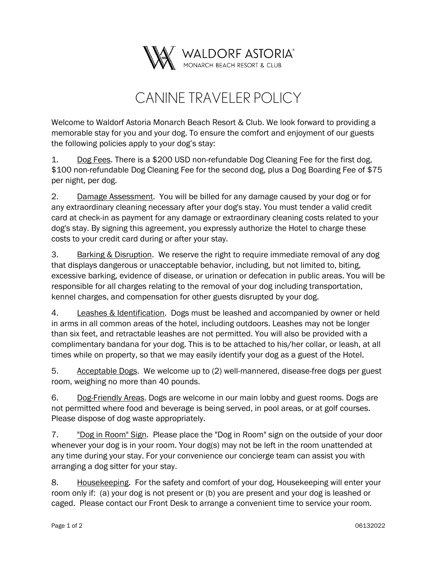

## CANINE TRAVELER POLICY

Welcome to Waldorf Astoria Monarch Beach Resort & Club. We look forward to providing a memorable stay for you and your dog. To ensure the comfort and enjoyment of our guests the following policies apply to your dog's stay:

1. Dog Fees. There is a \$200 USD non-refundable Dog Cleaning Fee for the first dog, \$100 non-refundable Dog Cleaning Fee for the second dog, plus a Dog Boarding Fee of \$75 per night, per dog.

 $2.$ 2. Damage Assessment. You will be billed for any damage caused by your dog or for any extraordinary cleaning necessary after your dog's stay. You must tender a valid credit card at check-in as payment for any damage or extraordinary cleaning costs related to your dog's stay. By signing this agreement, you expressly authorize the Hotel to charge these costs to your credit card during or after your stay.

3. Barking & Disruption. We reserve the right to require immediate removal of any dog that displays dangerous or unacceptable behavior, including, but not limited to, biting, excessive barking, evidence of disease, or urination or defecation in public areas. You will be responsible for all charges relating to the removal of your dog including transportation, kennel charges, and compensation for other guests disrupted by your dog.

4. Leashes & Identification. Dogs must be leashed and accompanied by owner or held in arms in all common areas of the hotel, including outdoors. Leashes may not be longer than six feet, and retractable leashes are not permitted. You will also be provided with a complimentary bandana for your dog. This is to be attached to his/her collar, or leash, at all times while on property, so that we may easily identify your dog as a guest of the Hotel.

5. Acceptable Dogs. We welcome up to (2) well-mannered, disease-free dogs per guest room, weighing no more than 40 pounds.

6. Dog-Friendly Areas. Dogs are welcome in our main lobby and guest rooms. Dogs are not permitted where food and beverage is being served, in pool areas, or at golf courses. Please dispose of dog waste appropriately.

7. "Dog in Room" Sign. Please place the "Dog in Room" sign on the outside of your door whenever your dog is in your room. Your dog(s) may not be left in the room unattended at any time during your stay. For your convenience our concierge team can assist you with arranging a dog sitter for your stay.

8. Housekeeping. For the safety and comfort of your dog, Housekeeping will enter your room only if: (a) your dog is not present or (b) you are present and your dog is leashed or caged. Please contact our Front Desk to arrange a convenient time to service your room.